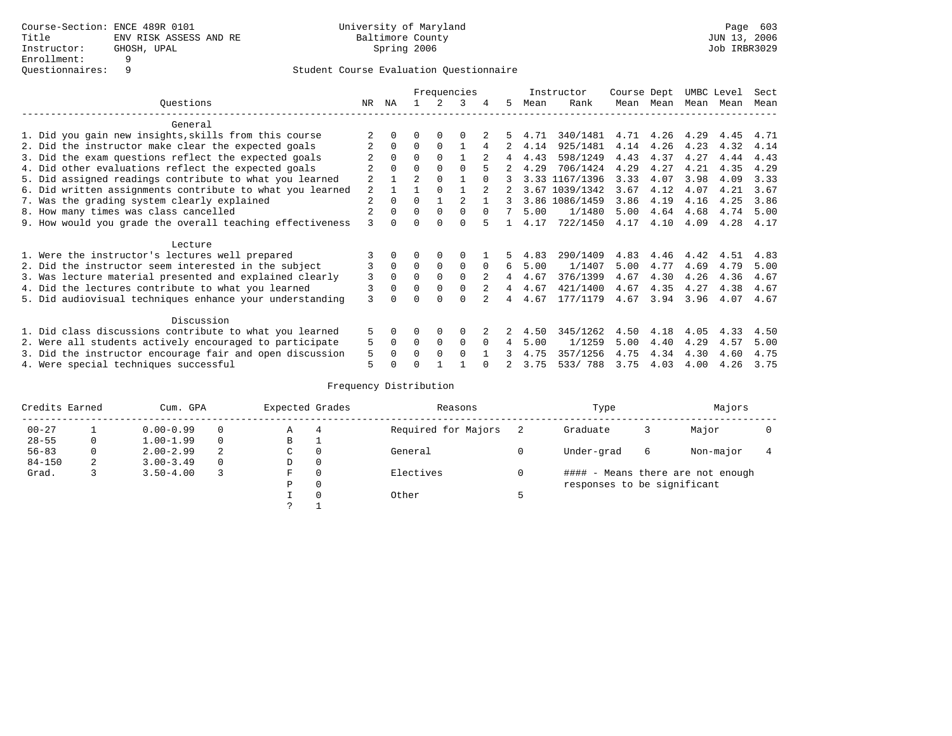# Student Course Evaluation Questionnaire

|                                                           | Frequencies    |          |                |          |          |    | Instructor | Course Dept    |      | UMBC Level |      | Sect |      |
|-----------------------------------------------------------|----------------|----------|----------------|----------|----------|----|------------|----------------|------|------------|------|------|------|
| Ouestions                                                 | NR.            | ΝA       |                |          | κ        | 5. | Mean       | Rank           |      | Mean Mean  | Mean | Mean | Mean |
| General                                                   |                |          |                |          |          |    |            |                |      |            |      |      |      |
| 1. Did you gain new insights, skills from this course     |                |          |                |          |          |    | 4.71       | 340/1481       | 4.71 | 4.26       | 4.29 | 4.45 | 4.71 |
| 2. Did the instructor make clear the expected goals       |                | $\Omega$ | 0              | $\Omega$ |          |    | 4.14       | 925/1481       | 4.14 | 4.26       | 4.23 | 4.32 | 4.14 |
| 3. Did the exam questions reflect the expected goals      |                | $\Omega$ | $\Omega$       | $\Omega$ |          | 4  | 4.43       | 598/1249       | 4.43 | 4.37       | 4.27 | 4.44 | 4.43 |
| 4. Did other evaluations reflect the expected goals       |                | $\Omega$ | $\Omega$       | $\Omega$ | $\cap$   |    | 4.29       | 706/1424       | 4.29 | 4.27       | 4.21 | 4.35 | 4.29 |
| 5. Did assigned readings contribute to what you learned   | $\overline{2}$ |          | $\overline{a}$ | $\Omega$ |          |    |            | 3.33 1167/1396 | 3.33 | 4.07       | 3.98 | 4.09 | 3.33 |
| 6. Did written assignments contribute to what you learned | $\mathfrak{D}$ |          |                | $\Omega$ |          |    |            | 3.67 1039/1342 | 3.67 | 4.12       | 4.07 | 4.21 | 3.67 |
| 7. Was the grading system clearly explained               | $\overline{2}$ | $\Omega$ | $\Omega$       |          |          |    |            | 3.86 1086/1459 | 3.86 | 4.19       | 4.16 | 4.25 | 3.86 |
| 8. How many times was class cancelled                     |                | $\Omega$ | 0              | $\Omega$ |          |    | 5.00       | 1/1480         | 5.00 | 4.64       | 4.68 | 4.74 | 5.00 |
| 9. How would you grade the overall teaching effectiveness | 3              |          |                |          | U        |    | 4.17       | 722/1450       | 4.17 | 4.10       | 4.09 | 4.28 | 4.17 |
| Lecture                                                   |                |          |                |          |          |    |            |                |      |            |      |      |      |
| 1. Were the instructor's lectures well prepared           |                |          |                |          |          |    | 4.83       | 290/1409       | 4.83 | 4.46       | 4.42 | 4.51 | 4.83 |
| 2. Did the instructor seem interested in the subject      | 3              | $\Omega$ | $\Omega$       | $\Omega$ | $\Omega$ | 6  | 5.00       | 1/1407         | 5.00 | 4.77       | 4.69 | 4.79 | 5.00 |
| 3. Was lecture material presented and explained clearly   | 3              | $\Omega$ | 0              | $\Omega$ | $\Omega$ | 4  | 4.67       | 376/1399       | 4.67 | 4.30       | 4.26 | 4.36 | 4.67 |
| 4. Did the lectures contribute to what you learned        | 3              | $\Omega$ | $\Omega$       | $\Omega$ | $\Omega$ | 4  | 4.67       | 421/1400       | 4.67 | 4.35       | 4.27 | 4.38 | 4.67 |
| 5. Did audiovisual techniques enhance your understanding  | 3              |          |                |          | $\cap$   |    | 4.67       | 177/1179       | 4.67 | 3.94       | 3.96 | 4.07 | 4.67 |
| Discussion                                                |                |          |                |          |          |    |            |                |      |            |      |      |      |
| 1. Did class discussions contribute to what you learned   | 5              | 0        | 0              | $\Omega$ | $\Omega$ |    | 4.50       | 345/1262       | 4.50 | 4.18       | 4.05 | 4.33 | 4.50 |
| 2. Were all students actively encouraged to participate   | 5              | $\Omega$ | $\Omega$       | $\Omega$ | $\Omega$ | 4  | 5.00       | 1/1259         | 5.00 | 4.40       | 4.29 | 4.57 | 5.00 |
| 3. Did the instructor encourage fair and open discussion  | 5              | O        | O              | $\Omega$ | $\Omega$ |    | 4.75       | 357/1256       | 4.75 | 4.34       | 4.30 | 4.60 | 4.75 |
| 4. Were special techniques successful                     | 5              |          |                |          |          |    | 3.75       | 533/788        | 3.75 | 4.03       | 4.00 | 4.26 | 3.75 |

## Frequency Distribution

| Credits Earned |   | Cum. GPA      |          |             | Expected Grades | Reasons             |   | Type                              | Majors |           |  |  |  |
|----------------|---|---------------|----------|-------------|-----------------|---------------------|---|-----------------------------------|--------|-----------|--|--|--|
| $00 - 27$      |   | $0.00 - 0.99$ |          | А           | 4               | Required for Majors |   | Graduate                          | 3      | Major     |  |  |  |
| $28 - 55$      | 0 | $1.00 - 1.99$ |          | В           | ÷               |                     |   |                                   |        |           |  |  |  |
| $56 - 83$      | 0 | $2.00 - 2.99$ | 2        | $\sim$<br>◡ | 0               | General             |   | Under-grad                        | 6      | Non-major |  |  |  |
| $84 - 150$     | 2 | $3.00 - 3.49$ | $\Omega$ | D           | 0               |                     |   |                                   |        |           |  |  |  |
| Grad.          |   | $3.50 - 4.00$ |          | F           | 0               | Electives           | 0 | #### - Means there are not enough |        |           |  |  |  |
|                |   |               |          | Ρ           | 0               |                     |   | responses to be significant       |        |           |  |  |  |
|                |   |               |          |             | $\Omega$        | Other               |   |                                   |        |           |  |  |  |
|                |   |               |          | C           |                 |                     |   |                                   |        |           |  |  |  |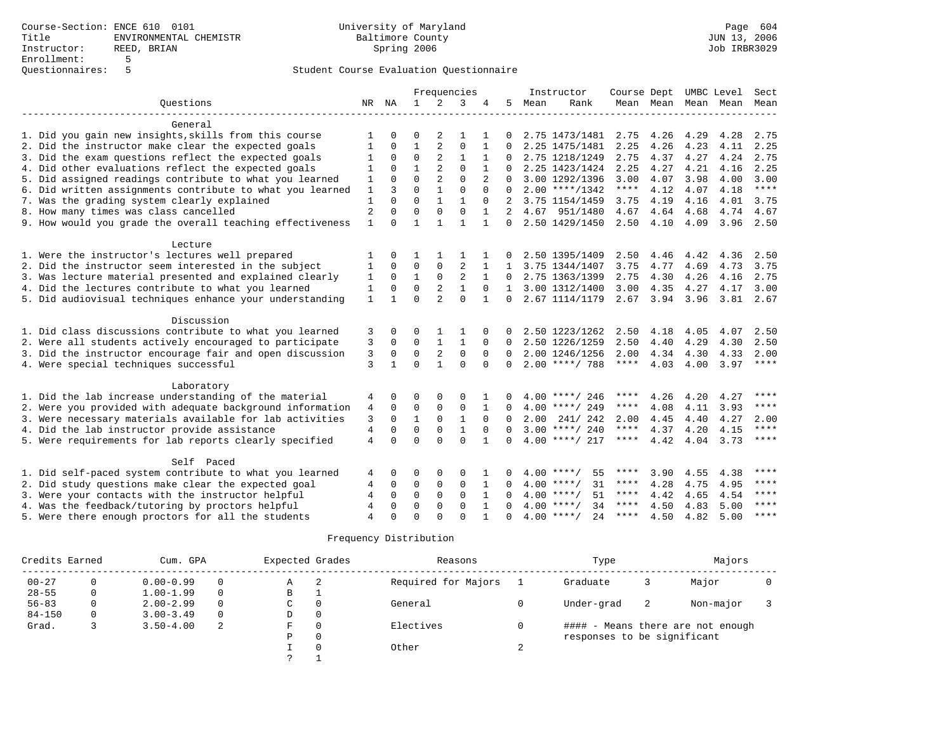### Student Course Evaluation Questionnaire

|                                                           |                |              |              |                | Frequencies    |                | Instructor   |      |                     | Course Dept UMBC Level |                |      |                          | Sect                   |
|-----------------------------------------------------------|----------------|--------------|--------------|----------------|----------------|----------------|--------------|------|---------------------|------------------------|----------------|------|--------------------------|------------------------|
| Questions                                                 | NR             | ΝA           | $\mathbf{1}$ | $\overline{2}$ | 3              |                | 5            | Mean | Rank                |                        |                |      | Mean Mean Mean Mean Mean |                        |
|                                                           |                |              |              |                |                |                |              |      |                     |                        |                |      |                          |                        |
| General                                                   |                |              |              |                |                |                |              |      |                     |                        |                |      |                          |                        |
| 1. Did you gain new insights, skills from this course     | 1              |              | $\Omega$     | 2              | -1             |                |              |      | 2.75 1473/1481      | 2.75                   | 4.26           | 4.29 | 4.28                     | 2.75                   |
| 2. Did the instructor make clear the expected goals       | 1              | 0            | 1            | 2              | $\mathbf 0$    |                | $\Omega$     |      | 2.25 1475/1481      | 2.25                   | 4.26           | 4.23 | 4.11                     | 2.25                   |
| 3. Did the exam questions reflect the expected goals      | 1              | $\Omega$     | $\mathbf 0$  | $\overline{2}$ | $\mathbf{1}$   |                |              |      | 2.75 1218/1249      | 2.75                   | 4.37           | 4.27 | 4.24                     | 2.75                   |
| 4. Did other evaluations reflect the expected goals       | 1              | $\Omega$     | $\mathbf{1}$ | $\overline{2}$ | $\Omega$       |                |              |      | 2.25 1423/1424      | 2.25                   | 4.27           | 4.21 | 4.16                     | 2.25                   |
| 5. Did assigned readings contribute to what you learned   | $\mathbf{1}$   | $\Omega$     | $\Omega$     | $\overline{2}$ | $\Omega$       | $\overline{a}$ | $\Omega$     |      | 3.00 1292/1396      | 3.00                   | 4.07           | 3.98 | 4.00                     | 3.00                   |
| 6. Did written assignments contribute to what you learned | 1              | 3            | $\Omega$     | $\mathbf{1}$   | $\Omega$       | $\Omega$       | $\Omega$     |      | $2.00$ ****/1342    | $***$ * * *            | 4.12           | 4.07 | 4.18                     | $***$                  |
| 7. Was the grading system clearly explained               | $\mathbf{1}$   | $\Omega$     | $\Omega$     | $\mathbf{1}$   |                | $\Omega$       |              |      | 3.75 1154/1459      | 3.75                   | 4.19           | 4.16 | 4.01                     | 3.75                   |
| 8. How many times was class cancelled                     | $\overline{2}$ | $\Omega$     | $\Omega$     | $\Omega$       | $\Omega$       |                | 2            |      | 4.67 951/1480       | 4.67                   | 4.64           | 4.68 | 4.74                     | 4.67                   |
| 9. How would you grade the overall teaching effectiveness | $\mathbf{1}$   | $\Omega$     | $\mathbf{1}$ | $\mathbf{1}$   | $\mathbf{1}$   | $\mathbf{1}$   | $\Omega$     |      | 2.50 1429/1450      |                        | $2.50$ 4.10    | 4.09 | 3.96                     | 2.50                   |
| Lecture                                                   |                |              |              |                |                |                |              |      |                     |                        |                |      |                          |                        |
| 1. Were the instructor's lectures well prepared           |                | $\Omega$     |              |                |                |                |              |      | 2.50 1395/1409      | 2.50                   | 4.46           | 4.42 | 4.36                     | 2.50                   |
| 2. Did the instructor seem interested in the subject      | 1              | $\Omega$     | $\Omega$     | 0              | $\overline{2}$ |                | $\mathbf{1}$ |      | 3.75 1344/1407      | 3.75                   | 4.77           | 4.69 | 4.73                     | 3.75                   |
| 3. Was lecture material presented and explained clearly   | 1              | $\Omega$     | 1            | $\mathbf 0$    | 2              | $\mathbf{1}$   | $\Omega$     |      | 2.75 1363/1399      | 2.75                   | 4.30           | 4.26 | 4.16                     | 2.75                   |
| 4. Did the lectures contribute to what you learned        | 1              | $\Omega$     | $\Omega$     | 2              |                | $\Omega$       | $\mathbf{1}$ |      | 3.00 1312/1400      | 3.00                   | 4.35           | 4.27 | 4.17                     | 3.00                   |
| 5. Did audiovisual techniques enhance your understanding  | $\mathbf{1}$   | $\mathbf{1}$ | $\Omega$     | $\overline{a}$ | $\Omega$       |                | $\Omega$     |      | 2.67 1114/1179      |                        | 2.67 3.94 3.96 |      |                          | $3.81$ $2.67$          |
|                                                           |                |              |              |                |                |                |              |      |                     |                        |                |      |                          |                        |
| Discussion                                                |                |              |              |                |                |                |              |      |                     |                        |                |      |                          |                        |
| 1. Did class discussions contribute to what you learned   | 3              | 0            | $\Omega$     |                |                | 0              |              |      | 2.50 1223/1262      | 2.50                   | 4.18           | 4.05 | 4.07                     | 2.50                   |
| 2. Were all students actively encouraged to participate   | 3              | $\mathbf 0$  | $\mathbf 0$  | $\mathbf{1}$   | 1              | $\Omega$       | $\Omega$     |      | 2.50 1226/1259      | 2.50                   | 4.40           | 4.29 | 4.30                     | 2.50                   |
| 3. Did the instructor encourage fair and open discussion  | 3              | $\mathbf 0$  | $\mathbf 0$  | $\overline{2}$ | $\mathbf 0$    | 0              | $\Omega$     |      | 2.00 1246/1256      | 2.00                   | 4.34           | 4.30 | 4.33                     | 2.00                   |
| 4. Were special techniques successful                     | 3              | $\mathbf{1}$ | $\Omega$     | $\mathbf{1}$   | $\Omega$       | $\Omega$       | $\Omega$     |      | $2.00$ ****/ 788    | $***$ * * *            | 4.03           | 4.00 | 3.97                     | $***$ * * *            |
| Laboratory                                                |                |              |              |                |                |                |              |      |                     |                        |                |      |                          |                        |
| 1. Did the lab increase understanding of the material     | 4              | 0            | $\Omega$     |                | $\Omega$       |                |              |      | $4.00$ ****/ 246    | ****                   | 4.26           | 4.20 | 4.27                     | $***$                  |
| 2. Were you provided with adequate background information | 4              | $\Omega$     | $\mathbf 0$  | $\mathbf{0}$   | $\mathbf 0$    | $\mathbf{1}$   |              |      | $4.00$ ****/ 249    | ****                   | 4.08           | 4.11 | 3.93                     | $***$                  |
| 3. Were necessary materials available for lab activities  | 3              | $\Omega$     | $\mathbf{1}$ | $\Omega$       | $\mathbf{1}$   | $\Omega$       | $\Omega$     | 2.00 | 241/242             | 2.00                   | 4.45           | 4.40 | 4.27                     | 2.00                   |
| 4. Did the lab instructor provide assistance              | $\overline{4}$ | $\Omega$     | $\Omega$     | $\mathbf{0}$   | $\mathbf{1}$   | $\Omega$       | $\cap$       |      | $3.00$ ****/ 240    | $***$ * * *            | 4.37           | 4.20 | 4.15                     | $***$ * * *            |
| 5. Were requirements for lab reports clearly specified    | $\overline{4}$ | $\Omega$     | $\Omega$     | $\cap$         | $\Omega$       |                | $\cap$       |      | $4.00$ ****/ 217    | ****                   | 4.42           | 4.04 | 3.73                     | $\star\star\star\star$ |
|                                                           |                |              |              |                |                |                |              |      |                     |                        |                |      |                          |                        |
| Self Paced                                                |                |              |              |                |                |                |              |      |                     |                        |                |      |                          |                        |
| 1. Did self-paced system contribute to what you learned   | 4              | 0            | $\Omega$     | 0              | 0              |                |              |      | $4.00$ ****/<br>55  | ****                   | 3.90           | 4.55 | 4.38                     | ****                   |
| 2. Did study questions make clear the expected goal       |                | $\Omega$     | $\mathbf 0$  | $\Omega$       | 0              | 1              |              |      | $4.00$ ****/<br>31  | $***$ * * *            | 4.28           | 4.75 | 4.95                     | ****                   |
| 3. Were your contacts with the instructor helpful         |                | $\Omega$     | $\Omega$     | $\Omega$       | $\Omega$       | $\mathbf{1}$   |              |      | $4.00$ ****/<br>51  | $***$ * *              | 4.42           | 4.65 | 4.54                     | ****                   |
| 4. Was the feedback/tutoring by proctors helpful          | 4              | $\Omega$     | $\Omega$     | $\Omega$       | $\Omega$       | $\mathbf{1}$   |              |      | $4.00$ ****/<br>34  | ****                   | 4.50           | 4.83 | 5.00                     | $* * * *$              |
| 5. Were there enough proctors for all the students        | $\overline{A}$ | $\cap$       | $\Omega$     | $\cap$         | $\cap$         |                | $\Omega$     |      | 2.4<br>$4.00$ ****/ | $***$ * * *            | 4.50           | 4.82 | 5.00                     | $* * * *$              |

### Frequency Distribution

| Credits Earned |          | Cum. GPA      |          |   | Expected Grades | Reasons             | Type                              | Majors |           |  |  |  |
|----------------|----------|---------------|----------|---|-----------------|---------------------|-----------------------------------|--------|-----------|--|--|--|
| $00 - 27$      | 0        | $0.00 - 0.99$ | $\Omega$ | Α | $\overline{2}$  | Required for Majors | Graduate                          |        | Major     |  |  |  |
| $28 - 55$      | 0        | $1.00 - 1.99$ | $\Omega$ | B | л.              |                     |                                   |        |           |  |  |  |
| $56 - 83$      |          | $2.00 - 2.99$ | $\Omega$ | C | 0               | General             | Under-grad                        | -2     | Non-major |  |  |  |
| $84 - 150$     | $\Omega$ | $3.00 - 3.49$ | $\Omega$ | D | $\circ$         |                     |                                   |        |           |  |  |  |
| Grad.          |          | $3.50 - 4.00$ | -2       | F | 0               | Electives           | #### - Means there are not enough |        |           |  |  |  |
|                |          |               |          | Ρ | 0               |                     | responses to be significant       |        |           |  |  |  |
|                |          |               |          |   | $\Omega$        | Other               |                                   |        |           |  |  |  |
|                |          |               |          |   |                 |                     |                                   |        |           |  |  |  |